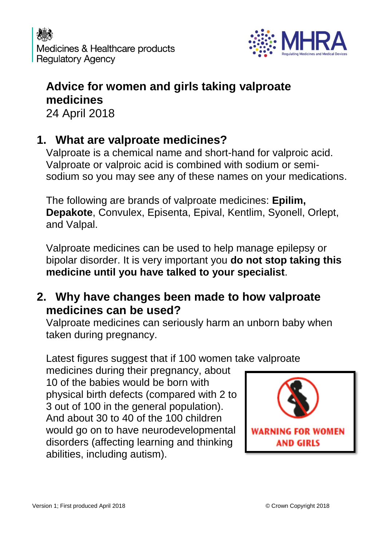

### **Advice for women and girls taking valproate medicines** 24 April 2018

# **1. What are valproate medicines?**

Valproate is a chemical name and short-hand for valproic acid. Valproate or valproic acid is combined with sodium or semisodium so you may see any of these names on your medications.

The following are brands of valproate medicines: **Epilim, Depakote**, Convulex, Episenta, Epival, Kentlim, Syonell, Orlept, and Valpal.

Valproate medicines can be used to help manage epilepsy or bipolar disorder. It is very important you **do not stop taking this medicine until you have talked to your specialist**.

## **2. Why have changes been made to how valproate medicines can be used?**

Valproate medicines can seriously harm an unborn baby when taken during pregnancy.

Latest figures suggest that if 100 women take valproate

medicines during their pregnancy, about 10 of the babies would be born with physical birth defects (compared with 2 to 3 out of 100 in the general population). And about 30 to 40 of the 100 children would go on to have neurodevelopmental disorders (affecting learning and thinking abilities, including autism).

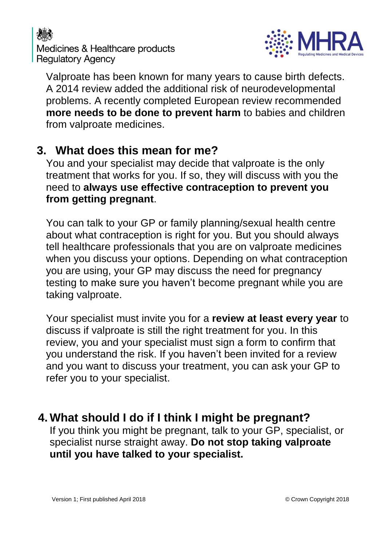



Valproate has been known for many years to cause birth defects. A 2014 review added the additional risk of neurodevelopmental problems. A recently completed European review recommended **more needs to be done to prevent harm** to babies and children from valproate medicines.

#### **3. What does this mean for me?**

You and your specialist may decide that valproate is the only treatment that works for you. If so, they will discuss with you the need to **always use effective contraception to prevent you from getting pregnant**.

You can talk to your GP or family planning/sexual health centre about what contraception is right for you. But you should always tell healthcare professionals that you are on valproate medicines when you discuss your options. Depending on what contraception you are using, your GP may discuss the need for pregnancy testing to make sure you haven't become pregnant while you are taking valproate.

Your specialist must invite you for a **review at least every year** to discuss if valproate is still the right treatment for you. In this review, you and your specialist must sign a form to confirm that you understand the risk. If you haven't been invited for a review and you want to discuss your treatment, you can ask your GP to refer you to your specialist.

# **4. What should I do if I think I might be pregnant?**

If you think you might be pregnant, talk to your GP, specialist, or specialist nurse straight away. **Do not stop taking valproate until you have talked to your specialist.**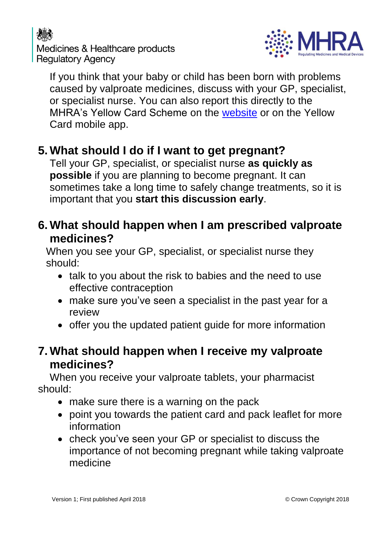# Medicines & Healthcare products **Regulatory Agency**



If you think that your baby or child has been born with problems caused by valproate medicines, discuss with your GP, specialist, or specialist nurse. You can also report this directly to the MHRA's Yellow Card Scheme on the [website](https://yellowcard.mhra.gov.uk/the-yellow-card-scheme/) or on the Yellow Card mobile app.

# **5. What should I do if I want to get pregnant?**

Tell your GP, specialist, or specialist nurse **as quickly as possible** if you are planning to become pregnant. It can sometimes take a long time to safely change treatments, so it is important that you **start this discussion early**.

### **6. What should happen when I am prescribed valproate medicines?**

When you see your GP, specialist, or specialist nurse they should:

- talk to you about the risk to babies and the need to use effective contraception
- make sure you've seen a specialist in the past year for a review
- offer you the updated patient guide for more information

### **7. What should happen when I receive my valproate medicines?**

When you receive your valproate tablets, your pharmacist should:

- make sure there is a warning on the pack
- point you towards the patient card and pack leaflet for more information
- check you've seen your GP or specialist to discuss the importance of not becoming pregnant while taking valproate medicine